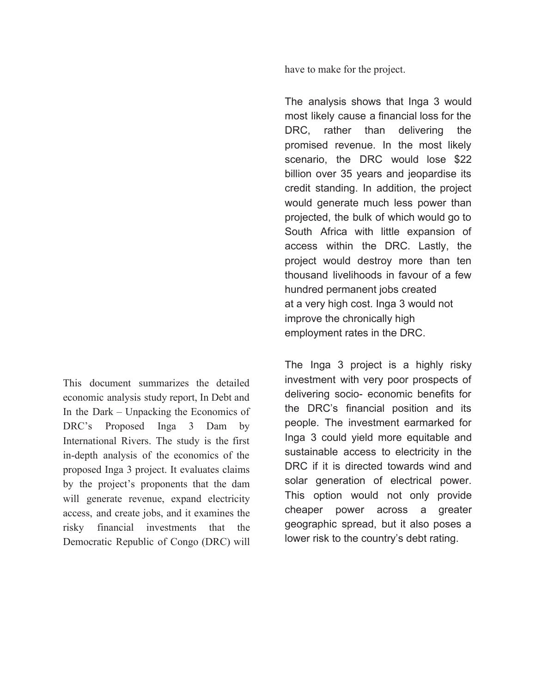have to make for the project.

The analysis shows that Inga 3 would most likely cause a financial loss for the DRC, rather than delivering the promised revenue. In the most likely scenario, the DRC would lose \$22 billion over 35 years and jeopardise its credit standing. In addition, the project would generate much less power than projected, the bulk of which would go to South Africa with little expansion of access within the DRC. Lastly, the project would destroy more than ten thousand livelihoods in favour of a few hundred permanent jobs created at a very high cost. Inga 3 would not improve the chronically high employment rates in the DRC.

The Inga 3 project is a highly risky investment with very poor prospects of delivering socio- economic benefits for the DRC's financial position and its people. The investment earmarked for Inga 3 could yield more equitable and sustainable access to electricity in the DRC if it is directed towards wind and solar generation of electrical power. This option would not only provide cheaper power across a greater geographic spread, but it also poses a lower risk to the country's debt rating.

This document summarizes the detailed economic analysis study report, In Debt and In the Dark – Unpacking the Economics of DRC's Proposed Inga 3 Dam by International Rivers. The study is the first in-depth analysis of the economics of the proposed Inga 3 project. It evaluates claims by the project's proponents that the dam will generate revenue, expand electricity access, and create jobs, and it examines the risky financial investments that the Democratic Republic of Congo (DRC) will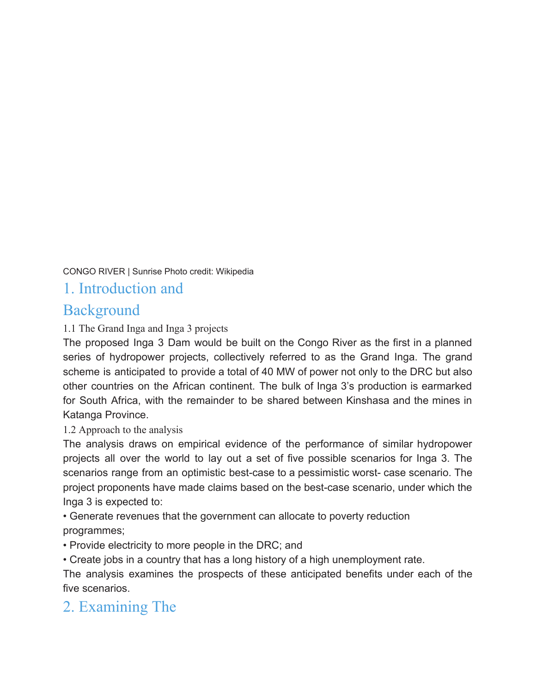CONGO RIVER | Sunrise Photo credit: Wikipedia

### 1. Introduction and

### **Background**

#### 1.1 The Grand Inga and Inga 3 projects

The proposed Inga 3 Dam would be built on the Congo River as the first in a planned series of hydropower projects, collectively referred to as the Grand Inga. The grand scheme is anticipated to provide a total of 40 MW of power not only to the DRC but also other countries on the African continent. The bulk of Inga 3's production is earmarked for South Africa, with the remainder to be shared between Kinshasa and the mines in Katanga Province.

#### 1.2 Approach to the analysis

The analysis draws on empirical evidence of the performance of similar hydropower projects all over the world to lay out a set of five possible scenarios for Inga 3. The scenarios range from an optimistic best-case to a pessimistic worst- case scenario. The project proponents have made claims based on the best-case scenario, under which the Inga 3 is expected to:

• Generate revenues that the government can allocate to poverty reduction programmes;

• Provide electricity to more people in the DRC; and

• Create jobs in a country that has a long history of a high unemployment rate.

The analysis examines the prospects of these anticipated benefits under each of the five scenarios.

## 2. Examining The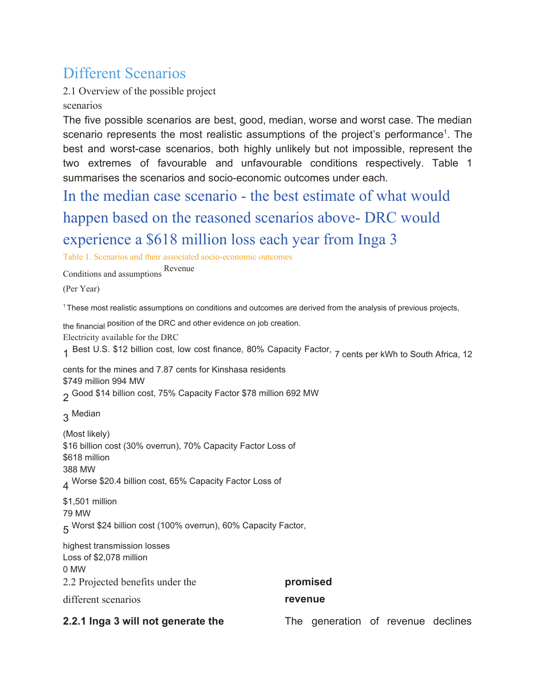## Different Scenarios

2.1 Overview of the possible project scenarios

The five possible scenarios are best, good, median, worse and worst case. The median scenario represents the most realistic assumptions of the project's performance<sup>1</sup>. The best and worst-case scenarios, both highly unlikely but not impossible, represent the two extremes of favourable and unfavourable conditions respectively. Table 1 summarises the scenarios and socio-economic outcomes under each.

In the median case scenario - the best estimate of what would happen based on the reasoned scenarios above- DRC would experience a \$618 million loss each year from Inga 3

Table 1. Scenarios and their associated socio-economic outcomes

Conditions and assumptions Revenue

(Per Year)

<sup>1</sup> These most realistic assumptions on conditions and outcomes are derived from the analysis of previous projects,

the financial position of the DRC and other evidence on job creation.

Electricity available for the DRC

1 Best U.S. \$12 billion cost, low cost finance, 80% Capacity Factor, 7 cents per kWh to South Africa, 12

cents for the mines and 7.87 cents for Kinshasa residents \$749 million 994 MW

2 Good \$14 billion cost, 75% Capacity Factor \$78 million <sup>692</sup> MW

3 Median

(Most likely) \$16 billion cost (30% overrun), 70% Capacity Factor Loss of \$618 million 388 MW  $_A$  Worse \$20.4 billion cost, 65% Capacity Factor Loss of

\$1,501 million 79 MW 5 Worst \$24 billion cost (100% overrun), 60% Capacity Factor,

highest transmission losses Loss of \$2,078 million 0 MW 2.2 Projected benefits under the

different scenarios

**promised revenue**

#### **2.2.1 Inga 3 will not generate the**

The generation of revenue declines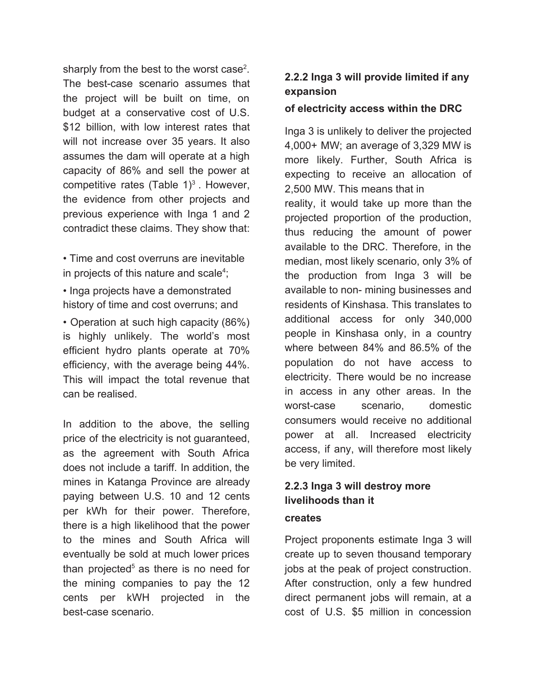sharply from the best to the worst case<sup>2</sup>. The best-case scenario assumes that the project will be built on time, on budget at a conservative cost of U.S. \$12 billion, with low interest rates that will not increase over 35 years. It also assumes the dam will operate at a high capacity of 86% and sell the power at competitive rates (Table  $1)^3$ . However, the evidence from other projects and previous experience with Inga 1 and 2 contradict these claims. They show that:

• Time and cost overruns are inevitable in projects of this nature and scale<sup>4</sup>;

• Inga projects have a demonstrated history of time and cost overruns; and

• Operation at such high capacity (86%) is highly unlikely. The world's most efficient hydro plants operate at 70% efficiency, with the average being 44%. This will impact the total revenue that can be realised.

In addition to the above, the selling price of the electricity is not guaranteed, as the agreement with South Africa does not include a tariff. In addition, the mines in Katanga Province are already paying between U.S. 10 and 12 cents per kWh for their power. Therefore, there is a high likelihood that the power to the mines and South Africa will eventually be sold at much lower prices than projected<sup>5</sup> as there is no need for the mining companies to pay the 12 cents per kWH projected in the best-case scenario.

#### **2.2.2 Inga 3 will provide limited if any expansion**

#### **of electricity access within the DRC**

Inga 3 is unlikely to deliver the projected 4,000+ MW; an average of 3,329 MW is more likely. Further, South Africa is expecting to receive an allocation of 2,500 MW. This means that in reality, it would take up more than the projected proportion of the production, thus reducing the amount of power available to the DRC. Therefore, in the median, most likely scenario, only 3% of the production from Inga 3 will be available to non- mining businesses and residents of Kinshasa. This translates to additional access for only 340,000 people in Kinshasa only, in a country where between 84% and 86.5% of the population do not have access to electricity. There would be no increase in access in any other areas. In the worst-case scenario, domestic consumers would receive no additional power at all. Increased electricity access, if any, will therefore most likely be very limited.

### **2.2.3 Inga 3 will destroy more livelihoods than it**

#### **creates**

Project proponents estimate Inga 3 will create up to seven thousand temporary jobs at the peak of project construction. After construction, only a few hundred direct permanent jobs will remain, at a cost of U.S. \$5 million in concession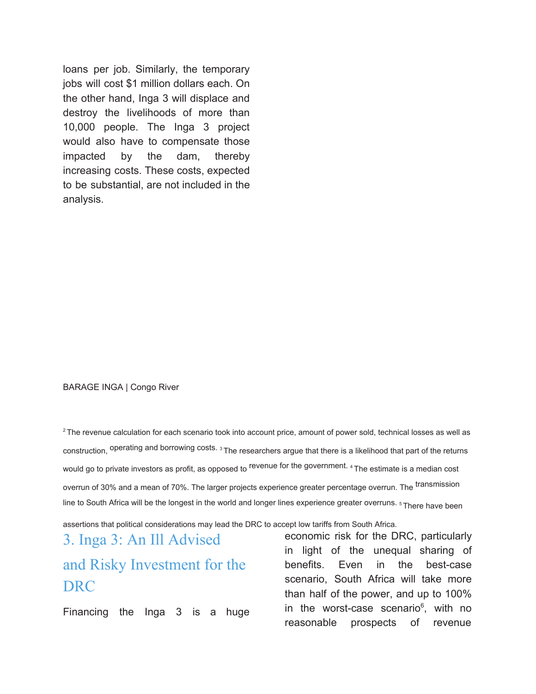loans per job. Similarly, the temporary jobs will cost \$1 million dollars each. On the other hand, Inga 3 will displace and destroy the livelihoods of more than 10,000 people. The Inga 3 project would also have to compensate those impacted by the dam, thereby increasing costs. These costs, expected to be substantial, are not included in the analysis.

#### BARAGE INGA | Congo River

 $2$  The revenue calculation for each scenario took into account price, amount of power sold, technical losses as well as construction, operating and borrowing costs. <sup>3</sup> The researchers argue that there is a likelihood that part of the returns would go to private investors as profit, as opposed to revenue for the government. <sup>4</sup> The estimate is a median cost overrun of 30% and a mean of 70%. The larger projects experience greater percentage overrun. The transmission line to South Africa will be the longest in the world and longer lines experience greater overruns. <sup>5</sup> There have been

assertions that political considerations may lead the DRC to accept low tariffs from South Africa.

# 3. Inga 3: An Ill Advised and Risky Investment for the DRC

Financing the Inga 3 is a huge

economic risk for the DRC, particularly in light of the unequal sharing of benefits. Even in the best-case scenario, South Africa will take more than half of the power, and up to 100% in the worst-case scenario<sup>6</sup>, with no reasonable prospects of revenue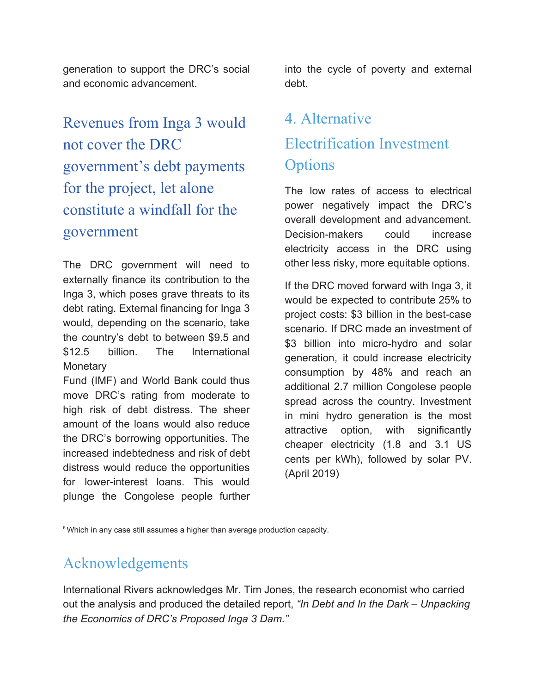generation to support the DRC's social and economic advancement.

Revenues from Inga 3 would not cover the DRC government's debt payments for the project, let alone constitute a windfall for the government

The DRC government will need to externally finance its contribution to the Inga 3, which poses grave threats to its debt rating. External financing for Inga 3 would, depending on the scenario, take the country's debt to between \$9.5 and \$12.5 billion. The International **Monetary** 

Fund (IMF) and World Bank could thus move DRC's rating from moderate to high risk of debt distress. The sheer amount of the loans would also reduce the DRC's borrowing opportunities. The increased indebtedness and risk of debt distress would reduce the opportunities for lower-interest loans. This would plunge the Congolese people further

into the cycle of poverty and external debt.

# 4. Alternative Electrification Investment **Options**

The low rates of access to electrical power negatively impact the DRC's overall development and advancement. Decision-makers could increase electricity access in the DRC using other less risky, more equitable options.

If the DRC moved forward with Inga 3, it would be expected to contribute 25% to project costs: \$3 billion in the best-case scenario. If DRC made an investment of \$3 billion into micro-hydro and solar generation, it could increase electricity consumption by 48% and reach an additional 2.7 million Congolese people spread across the country. Investment in mini hydro generation is the most attractive option, with significantly cheaper electricity (1.8 and 3.1 US cents per kWh), followed by solar PV. (April 2019)

<sup>6</sup> Which in any case still assumes a higher than average production capacity.

## Acknowledgements

International Rivers acknowledges Mr. Tim Jones, the research economist who carried out the analysis and produced the detailed report, *"In Debt and In the Dark – Unpacking the Economics of DRC's Proposed Inga 3 Dam."*